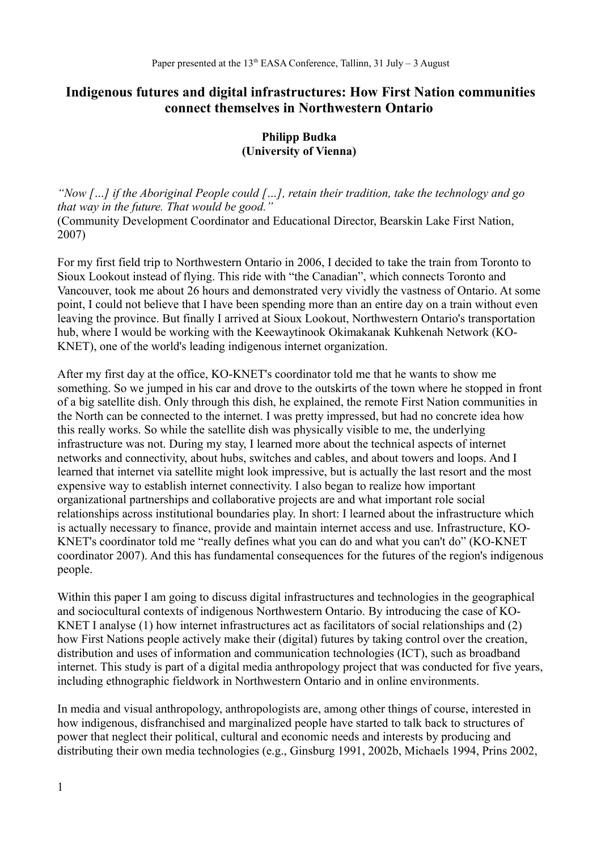# **Indigenous futures and digital infrastructures: How First Nation communities connect themselves in Northwestern Ontario**

## **Philipp Budka (University of Vienna)**

*"Now […] if the Aboriginal People could […], retain their tradition, take the technology and go that way in the future. That would be good."* (Community Development Coordinator and Educational Director, Bearskin Lake First Nation, 2007)

For my first field trip to Northwestern Ontario in 2006, I decided to take the train from Toronto to Sioux Lookout instead of flying. This ride with "the Canadian", which connects Toronto and Vancouver, took me about 26 hours and demonstrated very vividly the vastness of Ontario. At some point, I could not believe that I have been spending more than an entire day on a train without even leaving the province. But finally I arrived at Sioux Lookout, Northwestern Ontario's transportation hub, where I would be working with the Keewaytinook Okimakanak Kuhkenah Network (KO-KNET), one of the world's leading indigenous internet organization.

After my first day at the office, KO-KNET's coordinator told me that he wants to show me something. So we jumped in his car and drove to the outskirts of the town where he stopped in front of a big satellite dish. Only through this dish, he explained, the remote First Nation communities in the North can be connected to the internet. I was pretty impressed, but had no concrete idea how this really works. So while the satellite dish was physically visible to me, the underlying infrastructure was not. During my stay, I learned more about the technical aspects of internet networks and connectivity, about hubs, switches and cables, and about towers and loops. And I learned that internet via satellite might look impressive, but is actually the last resort and the most expensive way to establish internet connectivity. I also began to realize how important organizational partnerships and collaborative projects are and what important role social relationships across institutional boundaries play. In short: I learned about the infrastructure which is actually necessary to finance, provide and maintain internet access and use. Infrastructure, KO-KNET's coordinator told me "really defines what you can do and what you can't do" (KO-KNET coordinator 2007). And this has fundamental consequences for the futures of the region's indigenous people.

Within this paper I am going to discuss digital infrastructures and technologies in the geographical and sociocultural contexts of indigenous Northwestern Ontario. By introducing the case of KO-KNET I analyse (1) how internet infrastructures act as facilitators of social relationships and (2) how First Nations people actively make their (digital) futures by taking control over the creation, distribution and uses of information and communication technologies (ICT), such as broadband internet. This study is part of a digital media anthropology project that was conducted for five years, including ethnographic fieldwork in Northwestern Ontario and in online environments.

In media and visual anthropology, anthropologists are, among other things of course, interested in how indigenous, disfranchised and marginalized people have started to talk back to structures of power that neglect their political, cultural and economic needs and interests by producing and distributing their own media technologies (e.g., Ginsburg 1991, 2002b, Michaels 1994, Prins 2002,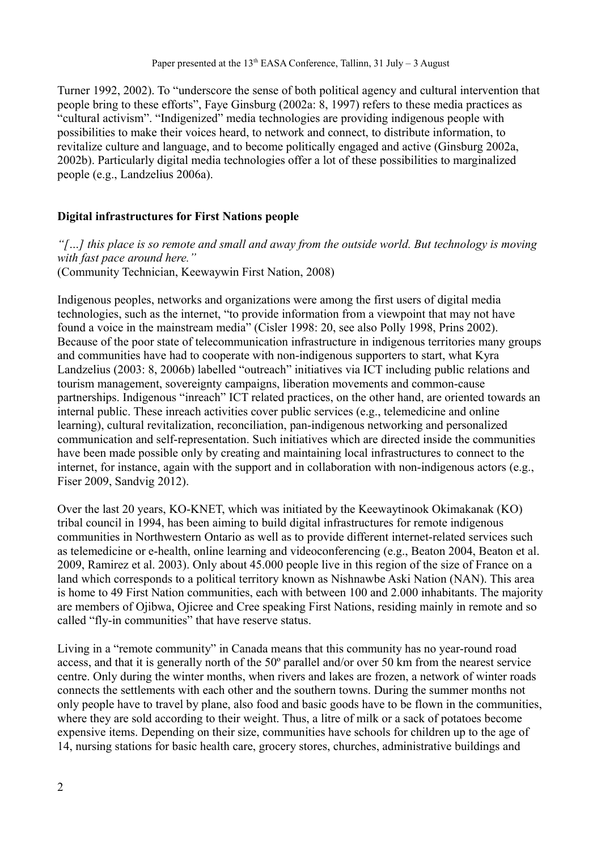Turner 1992, 2002). To "underscore the sense of both political agency and cultural intervention that people bring to these efforts", Faye Ginsburg (2002a: 8, 1997) refers to these media practices as "cultural activism". "Indigenized" media technologies are providing indigenous people with possibilities to make their voices heard, to network and connect, to distribute information, to revitalize culture and language, and to become politically engaged and active (Ginsburg 2002a, 2002b). Particularly digital media technologies offer a lot of these possibilities to marginalized people (e.g., Landzelius 2006a).

## **Digital infrastructures for First Nations people**

*"[…] this place is so remote and small and away from the outside world. But technology is moving with fast pace around here."* (Community Technician, Keewaywin First Nation, 2008)

Indigenous peoples, networks and organizations were among the first users of digital media technologies, such as the internet, "to provide information from a viewpoint that may not have found a voice in the mainstream media" (Cisler 1998: 20, see also Polly 1998, Prins 2002). Because of the poor state of telecommunication infrastructure in indigenous territories many groups and communities have had to cooperate with non-indigenous supporters to start, what Kyra Landzelius (2003: 8, 2006b) labelled "outreach" initiatives via ICT including public relations and tourism management, sovereignty campaigns, liberation movements and common-cause partnerships. Indigenous "inreach" ICT related practices, on the other hand, are oriented towards an internal public. These inreach activities cover public services (e.g., telemedicine and online learning), cultural revitalization, reconciliation, pan-indigenous networking and personalized communication and self-representation. Such initiatives which are directed inside the communities have been made possible only by creating and maintaining local infrastructures to connect to the internet, for instance, again with the support and in collaboration with non-indigenous actors (e.g., Fiser 2009, Sandvig 2012).

Over the last 20 years, KO-KNET, which was initiated by the Keewaytinook Okimakanak (KO) tribal council in 1994, has been aiming to build digital infrastructures for remote indigenous communities in Northwestern Ontario as well as to provide different internet-related services such as telemedicine or e-health, online learning and videoconferencing (e.g., Beaton 2004, Beaton et al. 2009, Ramirez et al. 2003). Only about 45.000 people live in this region of the size of France on a land which corresponds to a political territory known as Nishnawbe Aski Nation (NAN). This area is home to 49 First Nation communities, each with between 100 and 2.000 inhabitants. The majority are members of Ojibwa, Ojicree and Cree speaking First Nations, residing mainly in remote and so called "fly-in communities" that have reserve status.

Living in a "remote community" in Canada means that this community has no year-round road access, and that it is generally north of the 50º parallel and/or over 50 km from the nearest service centre. Only during the winter months, when rivers and lakes are frozen, a network of winter roads connects the settlements with each other and the southern towns. During the summer months not only people have to travel by plane, also food and basic goods have to be flown in the communities, where they are sold according to their weight. Thus, a litre of milk or a sack of potatoes become expensive items. Depending on their size, communities have schools for children up to the age of 14, nursing stations for basic health care, grocery stores, churches, administrative buildings and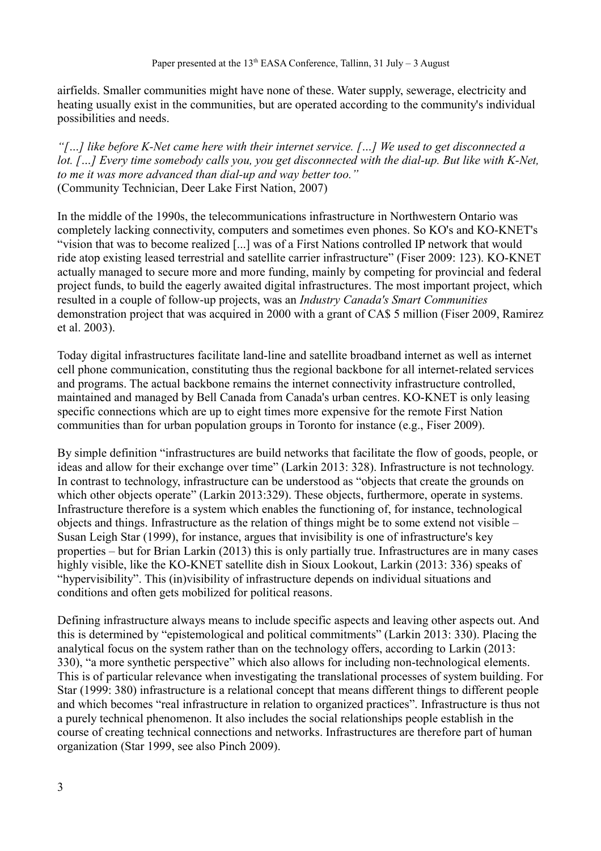airfields. Smaller communities might have none of these. Water supply, sewerage, electricity and heating usually exist in the communities, but are operated according to the community's individual possibilities and needs.

*"[…] like before K-Net came here with their internet service. […] We used to get disconnected a lot. […] Every time somebody calls you, you get disconnected with the dial-up. But like with K-Net, to me it was more advanced than dial-up and way better too."* (Community Technician, Deer Lake First Nation, 2007)

In the middle of the 1990s, the telecommunications infrastructure in Northwestern Ontario was completely lacking connectivity, computers and sometimes even phones. So KO's and KO-KNET's "vision that was to become realized [...] was of a First Nations controlled IP network that would ride atop existing leased terrestrial and satellite carrier infrastructure" (Fiser 2009: 123). KO-KNET actually managed to secure more and more funding, mainly by competing for provincial and federal project funds, to build the eagerly awaited digital infrastructures. The most important project, which resulted in a couple of follow-up projects, was an *Industry Canada's Smart Communities* demonstration project that was acquired in 2000 with a grant of CA\$ 5 million (Fiser 2009, Ramirez et al. 2003).

Today digital infrastructures facilitate land-line and satellite broadband internet as well as internet cell phone communication, constituting thus the regional backbone for all internet-related services and programs. The actual backbone remains the internet connectivity infrastructure controlled, maintained and managed by Bell Canada from Canada's urban centres. KO-KNET is only leasing specific connections which are up to eight times more expensive for the remote First Nation communities than for urban population groups in Toronto for instance (e.g., Fiser 2009).

By simple definition "infrastructures are build networks that facilitate the flow of goods, people, or ideas and allow for their exchange over time" (Larkin 2013: 328). Infrastructure is not technology. In contrast to technology, infrastructure can be understood as "objects that create the grounds on which other objects operate" (Larkin 2013:329). These objects, furthermore, operate in systems. Infrastructure therefore is a system which enables the functioning of, for instance, technological objects and things. Infrastructure as the relation of things might be to some extend not visible – Susan Leigh Star (1999), for instance, argues that invisibility is one of infrastructure's key properties – but for Brian Larkin (2013) this is only partially true. Infrastructures are in many cases highly visible, like the KO-KNET satellite dish in Sioux Lookout, Larkin (2013: 336) speaks of "hypervisibility". This (in)visibility of infrastructure depends on individual situations and conditions and often gets mobilized for political reasons.

Defining infrastructure always means to include specific aspects and leaving other aspects out. And this is determined by "epistemological and political commitments" (Larkin 2013: 330). Placing the analytical focus on the system rather than on the technology offers, according to Larkin (2013: 330), "a more synthetic perspective" which also allows for including non-technological elements. This is of particular relevance when investigating the translational processes of system building. For Star (1999: 380) infrastructure is a relational concept that means different things to different people and which becomes "real infrastructure in relation to organized practices". Infrastructure is thus not a purely technical phenomenon. It also includes the social relationships people establish in the course of creating technical connections and networks. Infrastructures are therefore part of human organization (Star 1999, see also Pinch 2009).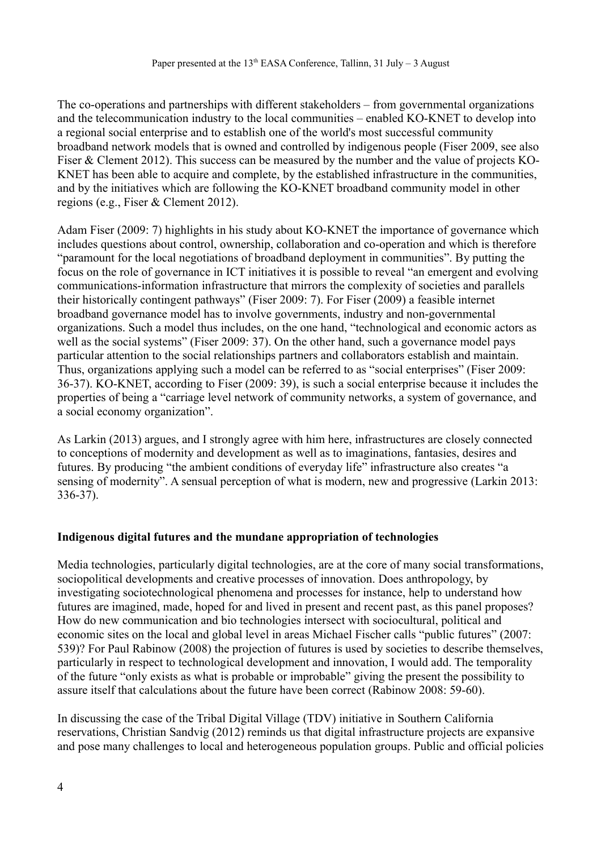The co-operations and partnerships with different stakeholders – from governmental organizations and the telecommunication industry to the local communities – enabled KO-KNET to develop into a regional social enterprise and to establish one of the world's most successful community broadband network models that is owned and controlled by indigenous people (Fiser 2009, see also Fiser & Clement 2012). This success can be measured by the number and the value of projects KO-KNET has been able to acquire and complete, by the established infrastructure in the communities, and by the initiatives which are following the KO-KNET broadband community model in other regions (e.g., Fiser & Clement 2012).

Adam Fiser (2009: 7) highlights in his study about KO-KNET the importance of governance which includes questions about control, ownership, collaboration and co-operation and which is therefore "paramount for the local negotiations of broadband deployment in communities". By putting the focus on the role of governance in ICT initiatives it is possible to reveal "an emergent and evolving communications-information infrastructure that mirrors the complexity of societies and parallels their historically contingent pathways" (Fiser 2009: 7). For Fiser (2009) a feasible internet broadband governance model has to involve governments, industry and non-governmental organizations. Such a model thus includes, on the one hand, "technological and economic actors as well as the social systems" (Fiser 2009: 37). On the other hand, such a governance model pays particular attention to the social relationships partners and collaborators establish and maintain. Thus, organizations applying such a model can be referred to as "social enterprises" (Fiser 2009: 36-37). KO-KNET, according to Fiser (2009: 39), is such a social enterprise because it includes the properties of being a "carriage level network of community networks, a system of governance, and a social economy organization".

As Larkin (2013) argues, and I strongly agree with him here, infrastructures are closely connected to conceptions of modernity and development as well as to imaginations, fantasies, desires and futures. By producing "the ambient conditions of everyday life" infrastructure also creates "a sensing of modernity". A sensual perception of what is modern, new and progressive (Larkin 2013: 336-37).

#### **Indigenous digital futures and the mundane appropriation of technologies**

Media technologies, particularly digital technologies, are at the core of many social transformations, sociopolitical developments and creative processes of innovation. Does anthropology, by investigating sociotechnological phenomena and processes for instance, help to understand how futures are imagined, made, hoped for and lived in present and recent past, as this panel proposes? How do new communication and bio technologies intersect with sociocultural, political and economic sites on the local and global level in areas Michael Fischer calls "public futures" (2007: 539)? For Paul Rabinow (2008) the projection of futures is used by societies to describe themselves, particularly in respect to technological development and innovation, I would add. The temporality of the future "only exists as what is probable or improbable" giving the present the possibility to assure itself that calculations about the future have been correct (Rabinow 2008: 59-60).

In discussing the case of the Tribal Digital Village (TDV) initiative in Southern California reservations, Christian Sandvig (2012) reminds us that digital infrastructure projects are expansive and pose many challenges to local and heterogeneous population groups. Public and official policies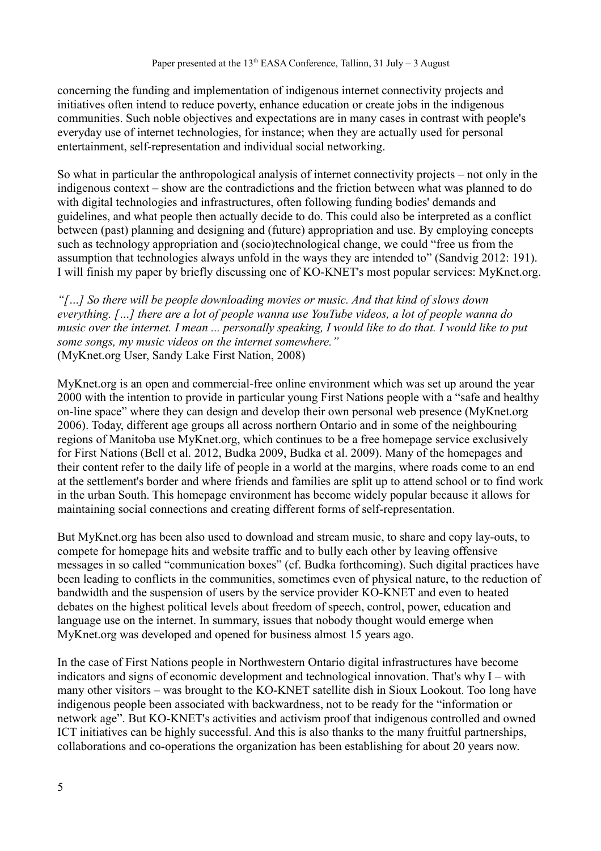concerning the funding and implementation of indigenous internet connectivity projects and initiatives often intend to reduce poverty, enhance education or create jobs in the indigenous communities. Such noble objectives and expectations are in many cases in contrast with people's everyday use of internet technologies, for instance; when they are actually used for personal entertainment, self-representation and individual social networking.

So what in particular the anthropological analysis of internet connectivity projects – not only in the indigenous context – show are the contradictions and the friction between what was planned to do with digital technologies and infrastructures, often following funding bodies' demands and guidelines, and what people then actually decide to do. This could also be interpreted as a conflict between (past) planning and designing and (future) appropriation and use. By employing concepts such as technology appropriation and (socio)technological change, we could "free us from the assumption that technologies always unfold in the ways they are intended to" (Sandvig 2012: 191). I will finish my paper by briefly discussing one of KO-KNET's most popular services: MyKnet.org.

*"[…] So there will be people downloading movies or music. And that kind of slows down everything. […] there are a lot of people wanna use YouTube videos, a lot of people wanna do music over the internet. I mean ... personally speaking, I would like to do that. I would like to put some songs, my music videos on the internet somewhere."* (MyKnet.org User, Sandy Lake First Nation, 2008)

MyKnet.org is an open and commercial-free online environment which was set up around the year 2000 with the intention to provide in particular young First Nations people with a "safe and healthy on-line space" where they can design and develop their own personal web presence (MyKnet.org 2006). Today, different age groups all across northern Ontario and in some of the neighbouring regions of Manitoba use MyKnet.org, which continues to be a free homepage service exclusively for First Nations (Bell et al. 2012, Budka 2009, Budka et al. 2009). Many of the homepages and their content refer to the daily life of people in a world at the margins, where roads come to an end at the settlement's border and where friends and families are split up to attend school or to find work in the urban South. This homepage environment has become widely popular because it allows for maintaining social connections and creating different forms of self-representation.

But MyKnet.org has been also used to download and stream music, to share and copy lay-outs, to compete for homepage hits and website traffic and to bully each other by leaving offensive messages in so called "communication boxes" (cf. Budka forthcoming). Such digital practices have been leading to conflicts in the communities, sometimes even of physical nature, to the reduction of bandwidth and the suspension of users by the service provider KO-KNET and even to heated debates on the highest political levels about freedom of speech, control, power, education and language use on the internet. In summary, issues that nobody thought would emerge when MyKnet.org was developed and opened for business almost 15 years ago.

In the case of First Nations people in Northwestern Ontario digital infrastructures have become indicators and signs of economic development and technological innovation. That's why I – with many other visitors – was brought to the KO-KNET satellite dish in Sioux Lookout. Too long have indigenous people been associated with backwardness, not to be ready for the "information or network age". But KO-KNET's activities and activism proof that indigenous controlled and owned ICT initiatives can be highly successful. And this is also thanks to the many fruitful partnerships, collaborations and co-operations the organization has been establishing for about 20 years now.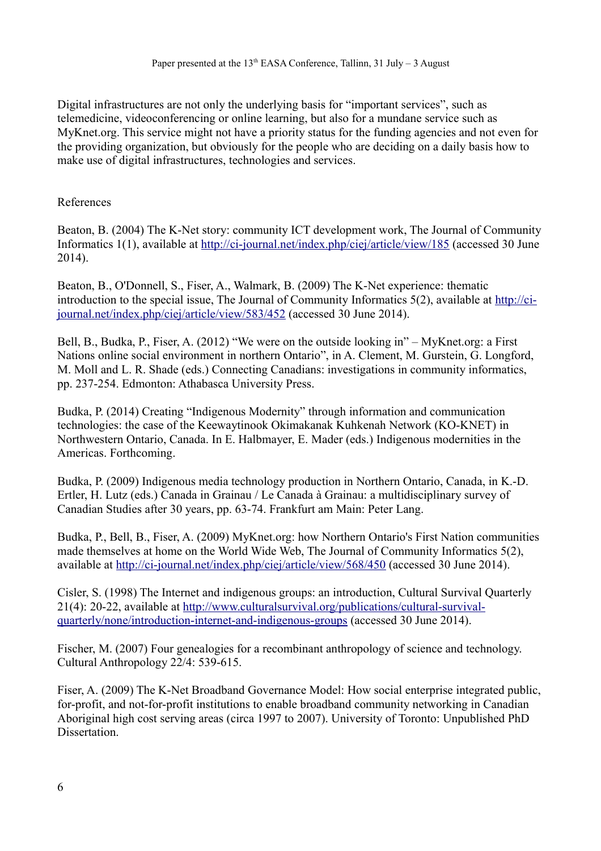Digital infrastructures are not only the underlying basis for "important services", such as telemedicine, videoconferencing or online learning, but also for a mundane service such as MyKnet.org. This service might not have a priority status for the funding agencies and not even for the providing organization, but obviously for the people who are deciding on a daily basis how to make use of digital infrastructures, technologies and services.

#### References

Beaton, B. (2004) The K-Net story: community ICT development work, The Journal of Community Informatics 1(1), available at<http://ci-journal.net/index.php/ciej/article/view/185>(accessed 30 June 2014).

Beaton, B., O'Donnell, S., Fiser, A., Walmark, B. (2009) The K-Net experience: thematic introduction to the special issue, The Journal of Community Informatics 5(2), available at [http://ci](http://ci-journal.net/index.php/ciej/article/view/583/452)[journal.net/index.php/ciej/article/view/583/452](http://ci-journal.net/index.php/ciej/article/view/583/452) (accessed 30 June 2014).

Bell, B., Budka, P., Fiser, A. (2012) "We were on the outside looking in" – MyKnet.org: a First Nations online social environment in northern Ontario", in A. Clement, M. Gurstein, G. Longford, M. Moll and L. R. Shade (eds.) Connecting Canadians: investigations in community informatics, pp. 237-254. Edmonton: Athabasca University Press.

Budka, P. (2014) Creating "Indigenous Modernity" through information and communication technologies: the case of the Keewaytinook Okimakanak Kuhkenah Network (KO-KNET) in Northwestern Ontario, Canada. In E. Halbmayer, E. Mader (eds.) Indigenous modernities in the Americas. Forthcoming.

Budka, P. (2009) Indigenous media technology production in Northern Ontario, Canada, in K.-D. Ertler, H. Lutz (eds.) Canada in Grainau / Le Canada à Grainau: a multidisciplinary survey of Canadian Studies after 30 years, pp. 63-74. Frankfurt am Main: Peter Lang.

Budka, P., Bell, B., Fiser, A. (2009) MyKnet.org: how Northern Ontario's First Nation communities made themselves at home on the World Wide Web, The Journal of Community Informatics 5(2), available at<http://ci-journal.net/index.php/ciej/article/view/568/450>(accessed 30 June 2014).

Cisler, S. (1998) The Internet and indigenous groups: an introduction, Cultural Survival Quarterly 21(4): 20-22, available at [http://www.culturalsurvival.org/publications/cultural-survival](http://www.culturalsurvival.org/publications/cultural-survival-quarterly/none/introduction-internet-and-indigenous-groups)[quarterly/none/introduction-internet-and-indigenous-groups](http://www.culturalsurvival.org/publications/cultural-survival-quarterly/none/introduction-internet-and-indigenous-groups) (accessed 30 June 2014).

Fischer, M. (2007) Four genealogies for a recombinant anthropology of science and technology. Cultural Anthropology 22/4: 539-615.

Fiser, A. (2009) The K-Net Broadband Governance Model: How social enterprise integrated public, for-profit, and not-for-profit institutions to enable broadband community networking in Canadian Aboriginal high cost serving areas (circa 1997 to 2007). University of Toronto: Unpublished PhD **Dissertation**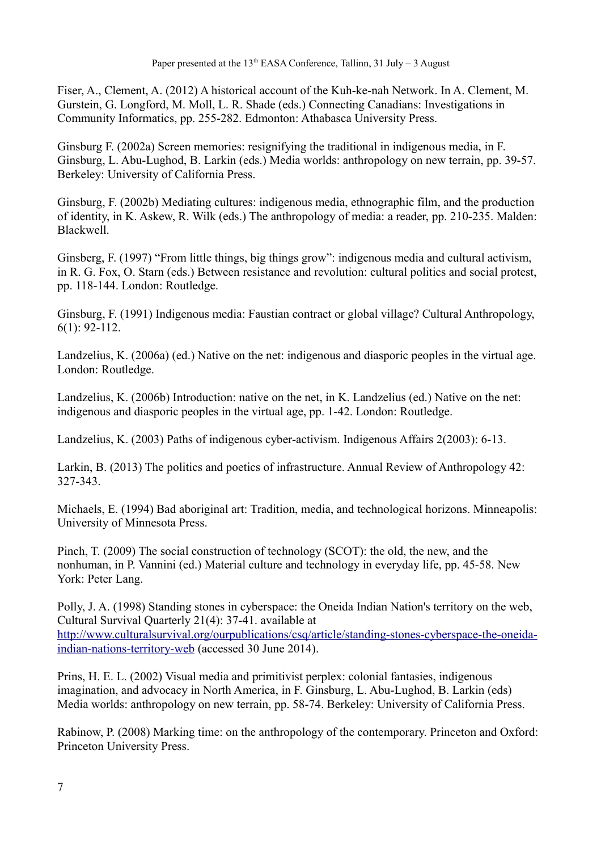Fiser, A., Clement, A. (2012) A historical account of the Kuh-ke-nah Network. In A. Clement, M. Gurstein, G. Longford, M. Moll, L. R. Shade (eds.) Connecting Canadians: Investigations in Community Informatics, pp. 255-282. Edmonton: Athabasca University Press.

Ginsburg F. (2002a) Screen memories: resignifying the traditional in indigenous media, in F. Ginsburg, L. Abu-Lughod, B. Larkin (eds.) Media worlds: anthropology on new terrain, pp. 39-57. Berkeley: University of California Press.

Ginsburg, F. (2002b) Mediating cultures: indigenous media, ethnographic film, and the production of identity, in K. Askew, R. Wilk (eds.) The anthropology of media: a reader, pp. 210-235. Malden: Blackwell.

Ginsberg, F. (1997) "From little things, big things grow": indigenous media and cultural activism, in R. G. Fox, O. Starn (eds.) Between resistance and revolution: cultural politics and social protest, pp. 118-144. London: Routledge.

Ginsburg, F. (1991) Indigenous media: Faustian contract or global village? Cultural Anthropology, 6(1): 92-112.

Landzelius, K. (2006a) (ed.) Native on the net: indigenous and diasporic peoples in the virtual age. London: Routledge.

Landzelius, K. (2006b) Introduction: native on the net, in K. Landzelius (ed.) Native on the net: indigenous and diasporic peoples in the virtual age, pp. 1-42. London: Routledge.

Landzelius, K. (2003) Paths of indigenous cyber-activism. Indigenous Affairs 2(2003): 6-13.

Larkin, B. (2013) The politics and poetics of infrastructure. Annual Review of Anthropology 42: 327-343.

Michaels, E. (1994) Bad aboriginal art: Tradition, media, and technological horizons. Minneapolis: University of Minnesota Press.

Pinch, T. (2009) The social construction of technology (SCOT): the old, the new, and the nonhuman, in P. Vannini (ed.) Material culture and technology in everyday life, pp. 45-58. New York: Peter Lang.

Polly, J. A. (1998) Standing stones in cyberspace: the Oneida Indian Nation's territory on the web, Cultural Survival Quarterly 21(4): 37-41. available at [http://www.culturalsurvival.org/ourpublications/csq/article/standing-stones-cyberspace-the-oneida](http://www.culturalsurvival.org/ourpublications/csq/article/standing-stones-cyberspace-the-oneida-indian-nations-territory-web)[indian-nations-territory-web](http://www.culturalsurvival.org/ourpublications/csq/article/standing-stones-cyberspace-the-oneida-indian-nations-territory-web) (accessed 30 June 2014).

Prins, H. E. L. (2002) Visual media and primitivist perplex: colonial fantasies, indigenous imagination, and advocacy in North America, in F. Ginsburg, L. Abu-Lughod, B. Larkin (eds) Media worlds: anthropology on new terrain, pp. 58-74. Berkeley: University of California Press.

Rabinow, P. (2008) Marking time: on the anthropology of the contemporary. Princeton and Oxford: Princeton University Press.